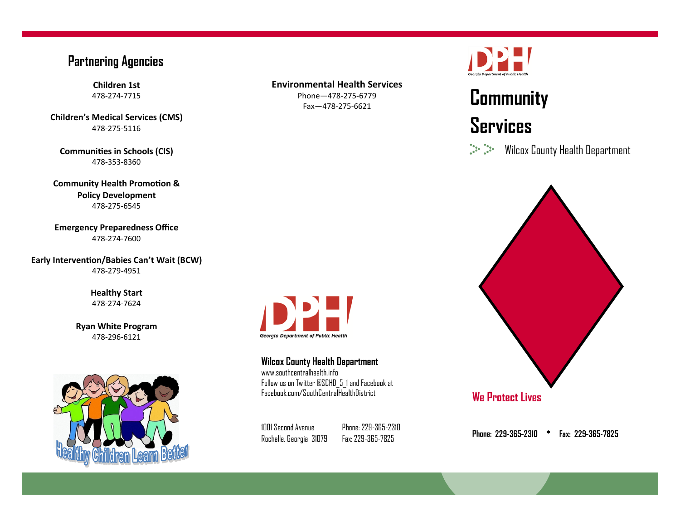#### **Partnering Agencies**

**Children 1st** 478-274-7715

**Children's Medical Services (CMS)** 478-275-5116

**Communities in Schools (CIS)** 478-353-8360

**Community Health Promotion & Policy Development** 478-275-6545

**Emergency Preparedness Office** 478-274-7600

**Early Intervention/Babies Can't Wait (BCW)** 478-279-4951

> **Healthy Start** 478-274-7624

**Ryan White Program** 478-296-6121



#### **Environmental Health Services**

Phone—478-275-6779 Fax—478-275-6621



# **Community Services**

 $\frac{1}{2} \sum_{i=1}^{n} \frac{1}{2} \sum_{i=1}^{n} \frac{1}{2} \sum_{i=1}^{n} \frac{1}{2} \sum_{i=1}^{n} \frac{1}{2} \sum_{i=1}^{n} \frac{1}{2} \sum_{i=1}^{n} \frac{1}{2} \sum_{i=1}^{n} \frac{1}{2} \sum_{i=1}^{n} \frac{1}{2} \sum_{i=1}^{n} \frac{1}{2} \sum_{i=1}^{n} \frac{1}{2} \sum_{i=1}^{n} \frac{1}{2} \sum_{i=1}^{n} \frac{1}{2} \sum_{i=1}^{n$ Wilcox County Health Department



1001 Second Avenue Rochelle, Georgia 31079

www.southcentralhealth.info

**Georgia Department of Public Health** 

**Wilcox County Health Department**

Follow us on Twitter @SCHD\_5\_1 and Facebook at Facebook.com/SouthCentralHealthDistrict

> Phone: 229-365-2310 Fax: 229-365-7825

Phone: 229-365-2310 \* Fax: 229-365-7825